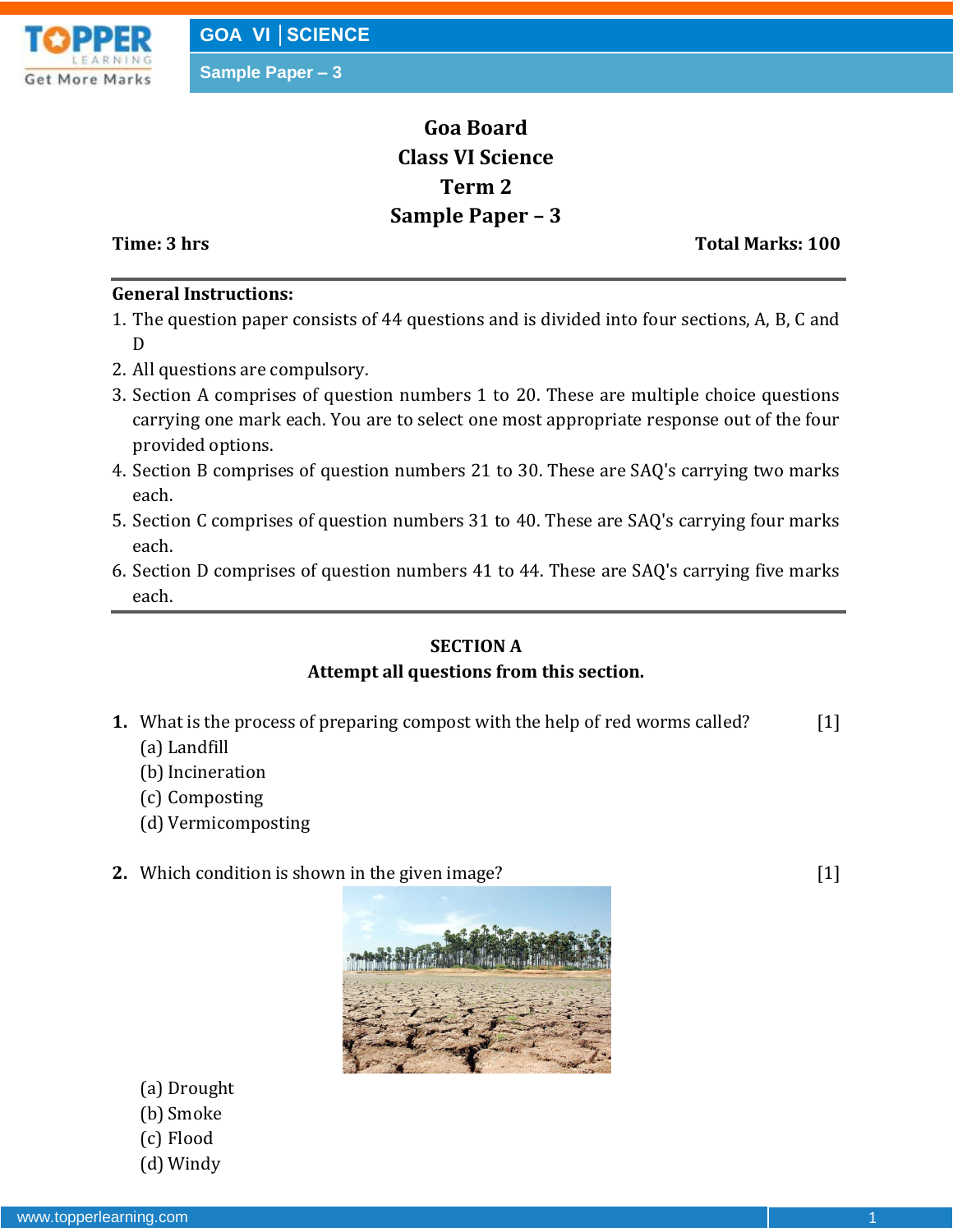

# **Goa Board Class VI Science Term 2 Sample Paper – 3**

**Time: 3 hrs** Total Marks: 100

## **General Instructions:**

- 1. The question paper consists of 44 questions and is divided into four sections, A, B, C and D
- 2. All questions are compulsory.
- 3. Section A comprises of question numbers 1 to 20. These are multiple choice questions carrying one mark each. You are to select one most appropriate response out of the four provided options.
- 4. Section B comprises of question numbers 21 to 30. These are SAQ's carrying two marks each.
- 5. Section C comprises of question numbers 31 to 40. These are SAQ's carrying four marks each.
- 6. Section D comprises of question numbers 41 to 44. These are SAQ's carrying five marks each.

# **SECTION A Attempt all questions from this section.**

- **1.** What is the process of preparing compost with the help of red worms called? [1]
	- (a) Landfill
	- (b) Incineration
	- (c) Composting
	- (d) Vermicomposting
- **2.** Which condition is shown in the given image? [1]



- (a) Drought
- (b) Smoke
- (c) Flood
- (d) Windy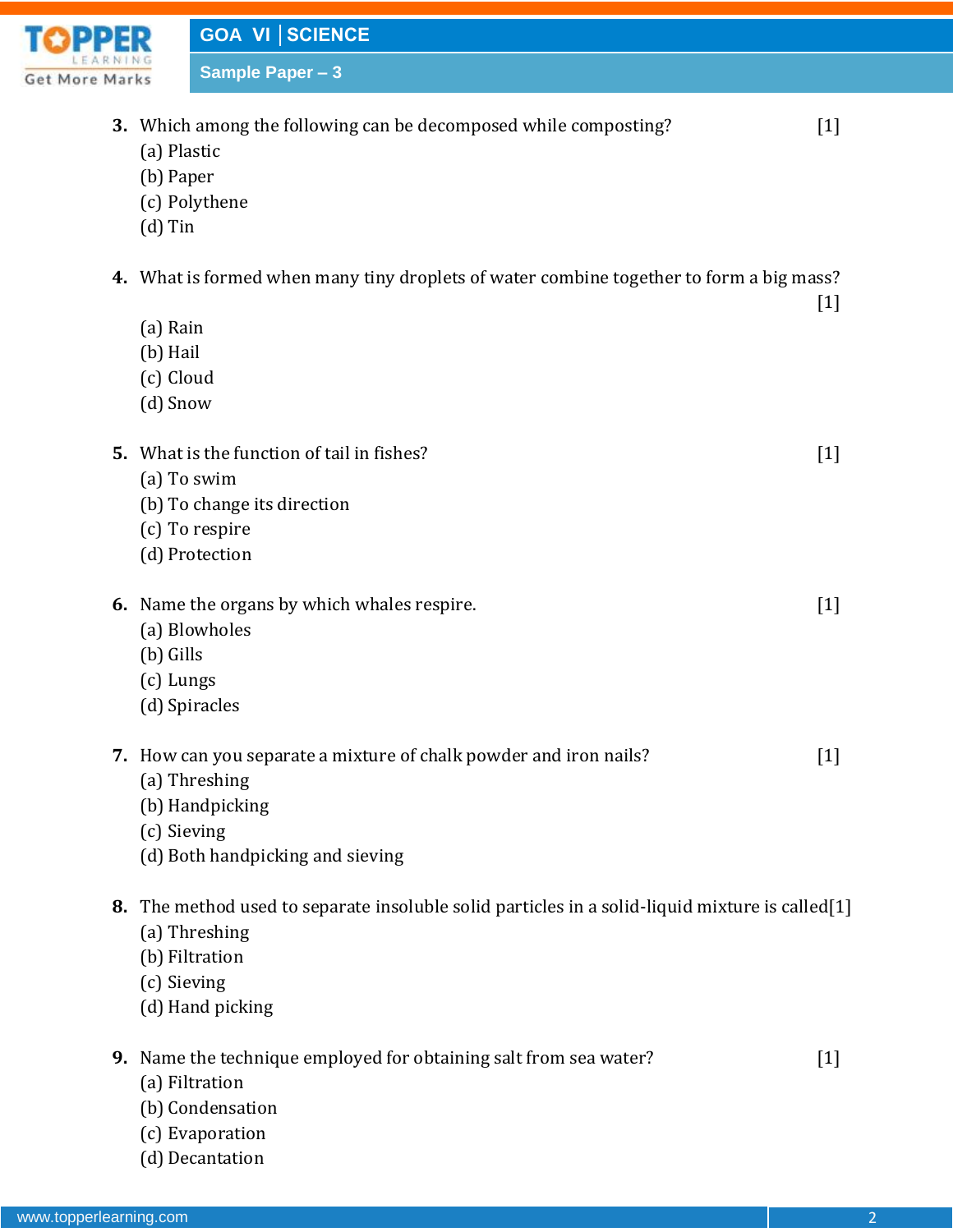

| IRNING<br>Marks |                                               | <b>Sample Paper - 3</b>                                                                                                                             |                   |
|-----------------|-----------------------------------------------|-----------------------------------------------------------------------------------------------------------------------------------------------------|-------------------|
|                 | (a) Plastic<br>(b) Paper<br>$(d)$ Tin         | 3. Which among the following can be decomposed while composting?<br>(c) Polythene                                                                   | $\lceil 1 \rceil$ |
|                 | (a) Rain<br>(b) Hail<br>(c) Cloud<br>(d) Snow | 4. What is formed when many tiny droplets of water combine together to form a big mass?                                                             | $[1]$             |
|                 |                                               | <b>5.</b> What is the function of tail in fishes?<br>(a) To swim<br>(b) To change its direction<br>(c) To respire<br>(d) Protection                 | $[1]$             |
|                 | (b) Gills<br>(c) Lungs                        | 6. Name the organs by which whales respire.<br>(a) Blowholes<br>(d) Spiracles                                                                       | $[1]$             |
|                 | (c) Sieving                                   | 7. How can you separate a mixture of chalk powder and iron nails?<br>(a) Threshing<br>(b) Handpicking<br>(d) Both handpicking and sieving           | $[1]$             |
| 8.              | (c) Sieving                                   | The method used to separate insoluble solid particles in a solid-liquid mixture is called[1]<br>(a) Threshing<br>(b) Filtration<br>(d) Hand picking |                   |
| 9.              |                                               | Name the technique employed for obtaining salt from sea water?<br>(a) Filtration<br>(b) Condensation<br>(c) Evaporation                             | $[1]$             |

www.topperlearning.com 2

(d) Decantation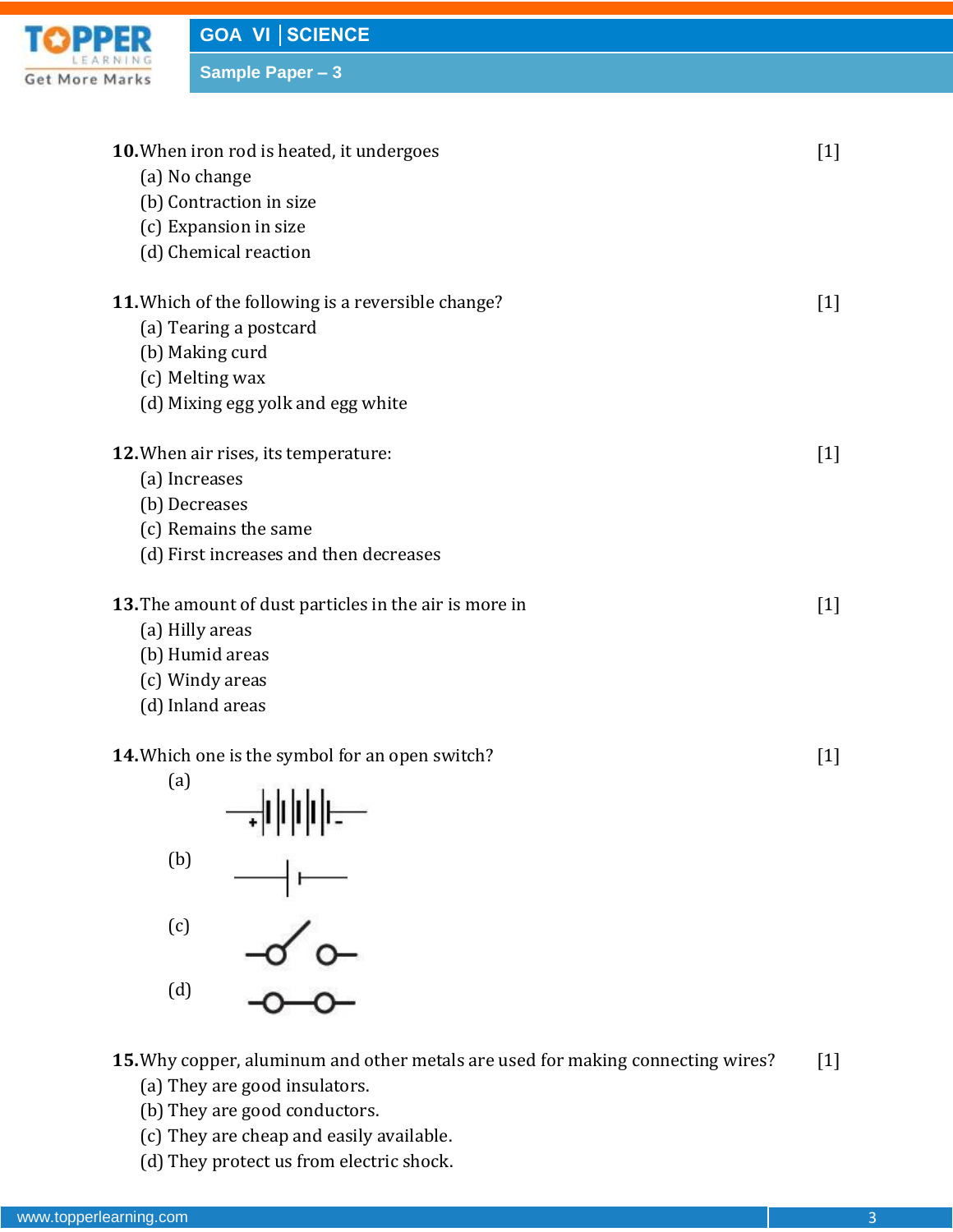

**GOA VI │SCIENCE**

**Sample Paper – 3**

| 10. When iron rod is heated, it undergoes                 |                   |  |
|-----------------------------------------------------------|-------------------|--|
| (a) No change                                             |                   |  |
| (b) Contraction in size                                   |                   |  |
| (c) Expansion in size                                     |                   |  |
| (d) Chemical reaction                                     |                   |  |
| <b>11.</b> Which of the following is a reversible change? | $\lceil 1 \rceil$ |  |
| (a) Tearing a postcard                                    |                   |  |
| (b) Making curd                                           |                   |  |
| (c) Melting wax                                           |                   |  |
| (d) Mixing egg yolk and egg white                         |                   |  |
| 12. When air rises, its temperature:                      | $[1]$             |  |
| (a) Increases                                             |                   |  |
| (b) Decreases                                             |                   |  |
| (c) Remains the same                                      |                   |  |
| (d) First increases and then decreases                    |                   |  |
| 13. The amount of dust particles in the air is more in    | $\lceil 1 \rceil$ |  |
| (a) Hilly areas                                           |                   |  |
| (b) Humid areas                                           |                   |  |
| (c) Windy areas                                           |                   |  |
| (d) Inland areas                                          |                   |  |
| 14. Which one is the symbol for an open switch?           |                   |  |
| (a)<br>11111                                              |                   |  |

 $\rightarrow$   $\parallel$ 



 $\frac{1}{2}$ (c) (d)

**15.**Why copper, aluminum and other metals are used for making connecting wires? [1]

- (a) They are good insulators.
- (b) They are good conductors.
- (c) They are cheap and easily available.
- (d) They protect us from electric shock.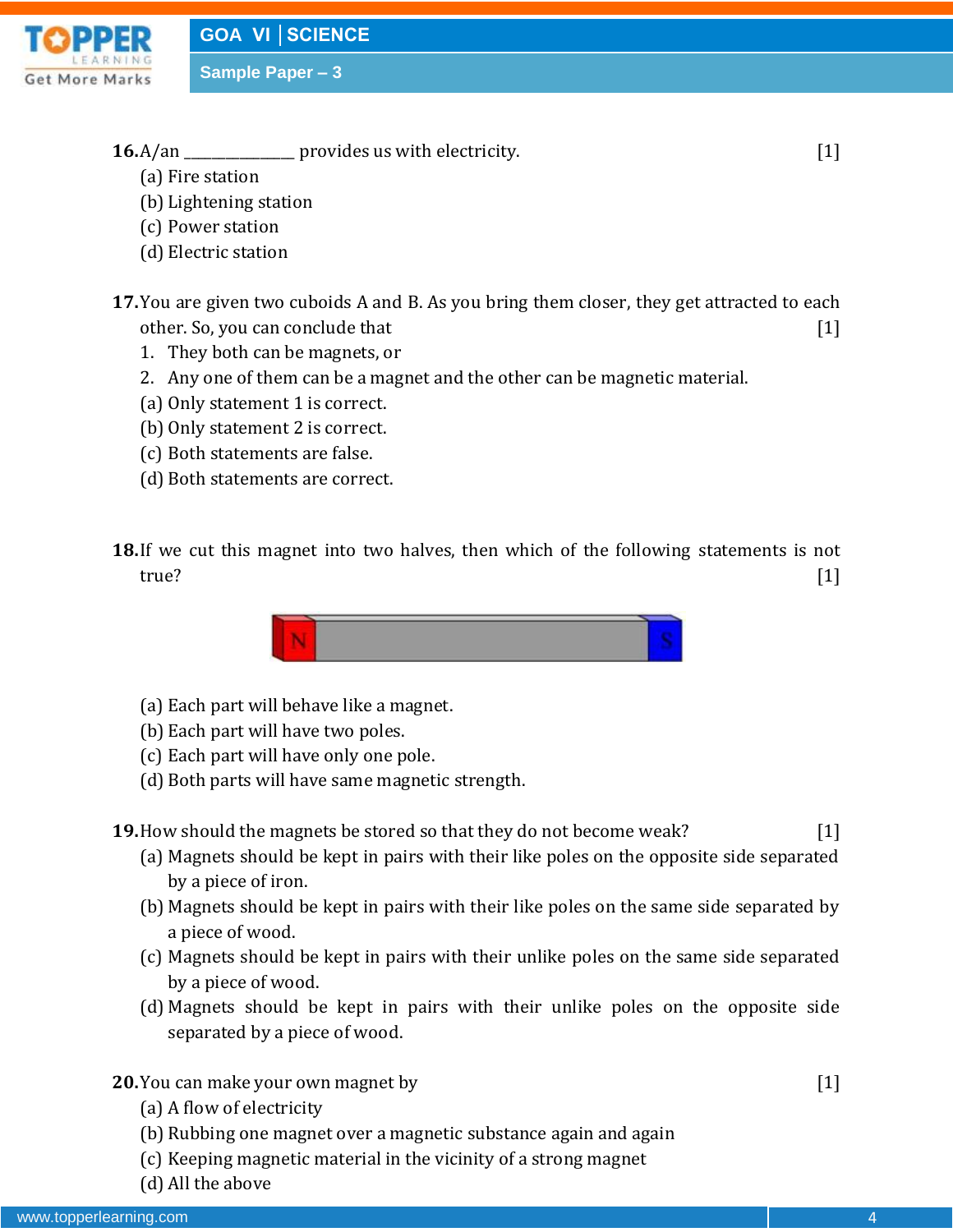

- **16.**A/an \_\_\_\_\_\_\_\_\_\_\_\_\_\_ provides us with electricity. [1]
	- (a) Fire station
	- (b) Lightening station
	- (c) Power station
	- (d) Electric station
- **17.**You are given two cuboids A and B. As you bring them closer, they get attracted to each other. So, you can conclude that [1]
	- 1. They both can be magnets, or
	- 2. Any one of them can be a magnet and the other can be magnetic material.
	- (a) Only statement 1 is correct.
	- (b) Only statement 2 is correct.
	- (c) Both statements are false.
	- (d) Both statements are correct.
- **18.**If we cut this magnet into two halves, then which of the following statements is not true? [1]



- (a) Each part will behave like a magnet.
- (b) Each part will have two poles.
- (c) Each part will have only one pole.
- (d) Both parts will have same magnetic strength.

**19.**How should the magnets be stored so that they do not become weak? [1]

- (a) Magnets should be kept in pairs with their like poles on the opposite side separated by a piece of iron.
- (b) Magnets should be kept in pairs with their like poles on the same side separated by a piece of wood.
- (c) Magnets should be kept in pairs with their unlike poles on the same side separated by a piece of wood.
- (d) Magnets should be kept in pairs with their unlike poles on the opposite side separated by a piece of wood.
- **20.**You can make your own magnet by *1* [1]
	- (a) A flow of electricity
	- (b) Rubbing one magnet over a magnetic substance again and again
	- (c) Keeping magnetic material in the vicinity of a strong magnet
	- (d) All the above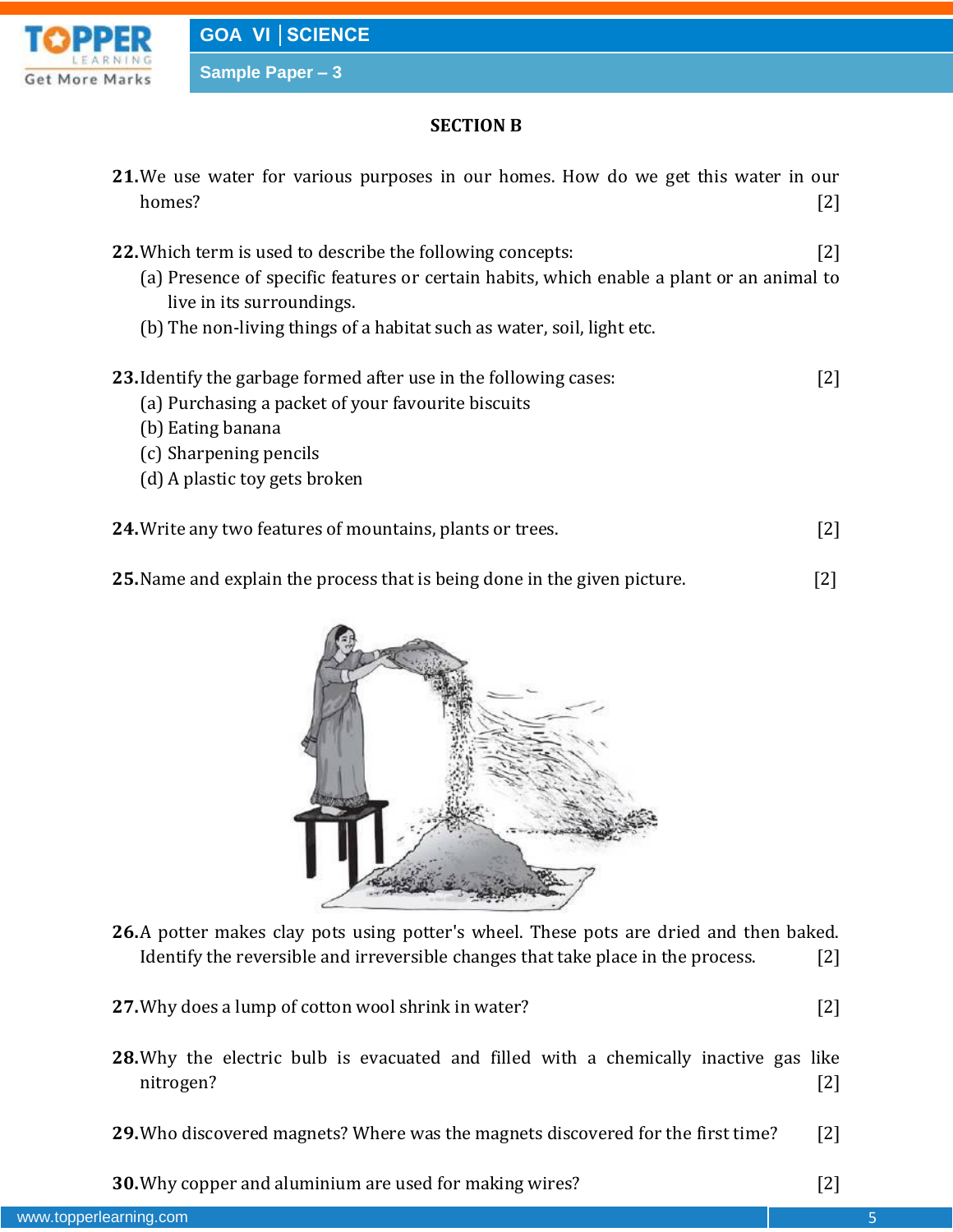

**SECTION B**

| 21. We use water for various purposes in our homes. How do we get this water in our<br>homes?                                                                                                                                                                         | $[2]$ |
|-----------------------------------------------------------------------------------------------------------------------------------------------------------------------------------------------------------------------------------------------------------------------|-------|
| <b>22.</b> Which term is used to describe the following concepts:<br>(a) Presence of specific features or certain habits, which enable a plant or an animal to<br>live in its surroundings.<br>(b) The non-living things of a habitat such as water, soil, light etc. | [2]   |
| 23. Identify the garbage formed after use in the following cases:<br>(a) Purchasing a packet of your favourite biscuits<br>(b) Eating banana<br>(c) Sharpening pencils<br>(d) A plastic toy gets broken                                                               | $[2]$ |
| 24. Write any two features of mountains, plants or trees.                                                                                                                                                                                                             | 121   |

**25.**Name and explain the process that is being done in the given picture. [2]



- **26.**A potter makes clay pots using potter's wheel. These pots are dried and then baked. Identify the reversible and irreversible changes that take place in the process. [2]
- **27.**Why does a lump of cotton wool shrink in water? [2]
- **28.**Why the electric bulb is evacuated and filled with a chemically inactive gas like nitrogen? [2]
- **29.**Who discovered magnets? Where was the magnets discovered for the first time? [2]

**30.**Why copper and aluminium are used for making wires? [2]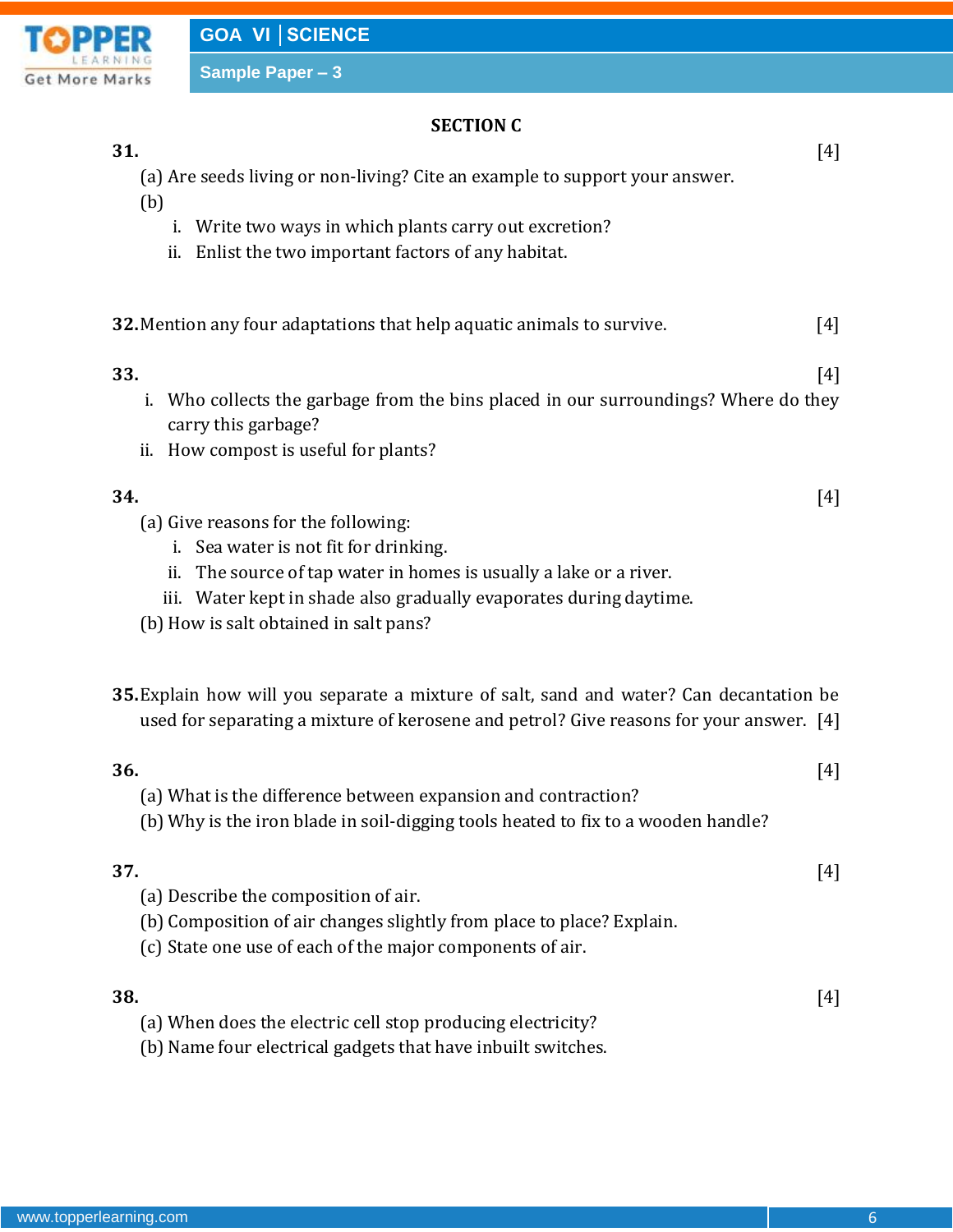

# **SECTION C**

### **31.** [4]

(a) Are seeds living or non-living? Cite an example to support your answer.

- (b)
- i. Write two ways in which plants carry out excretion?
- ii. Enlist the two important factors of any habitat.

# **32.**Mention any four adaptations that help aquatic animals to survive. [4]

- **33.** [4] i. Who collects the garbage from the bins placed in our surroundings? Where do they carry this garbage?
	- ii. How compost is useful for plants?

## **34.** [4]

- (a) Give reasons for the following:
	- i. Sea water is not fit for drinking.
	- ii. The source of tap water in homes is usually a lake or a river.
	- iii. Water kept in shade also gradually evaporates during daytime.
- (b) How is salt obtained in salt pans?
- **35.**Explain how will you separate a mixture of salt, sand and water? Can decantation be used for separating a mixture of kerosene and petrol? Give reasons for your answer. [4]

# **36.** [4] (a) What is the difference between expansion and contraction?

(b) Why is the iron blade in soil-digging tools heated to fix to a wooden handle?

**37.** [4]

- (a) Describe the composition of air.
- (b) Composition of air changes slightly from place to place? Explain.
- (c) State one use of each of the major components of air.

**38.** [4]

- (a) When does the electric cell stop producing electricity?
- (b) Name four electrical gadgets that have inbuilt switches.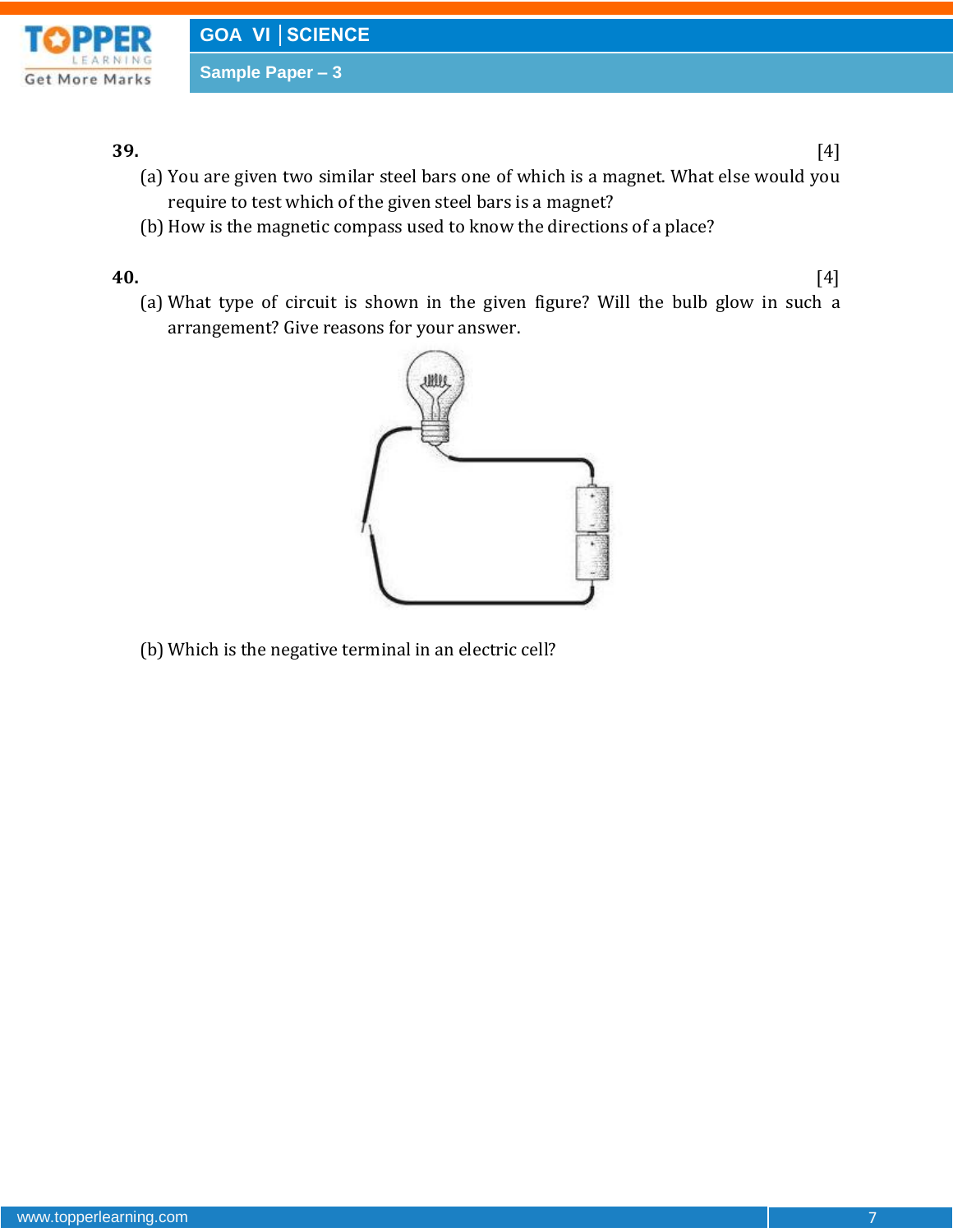

**39.** [4]

- (a) You are given two similar steel bars one of which is a magnet. What else would you require to test which of the given steel bars is a magnet?
- (b) How is the magnetic compass used to know the directions of a place?

**40.** [4]

(a) What type of circuit is shown in the given figure? Will the bulb glow in such a arrangement? Give reasons for your answer.



(b) Which is the negative terminal in an electric cell?